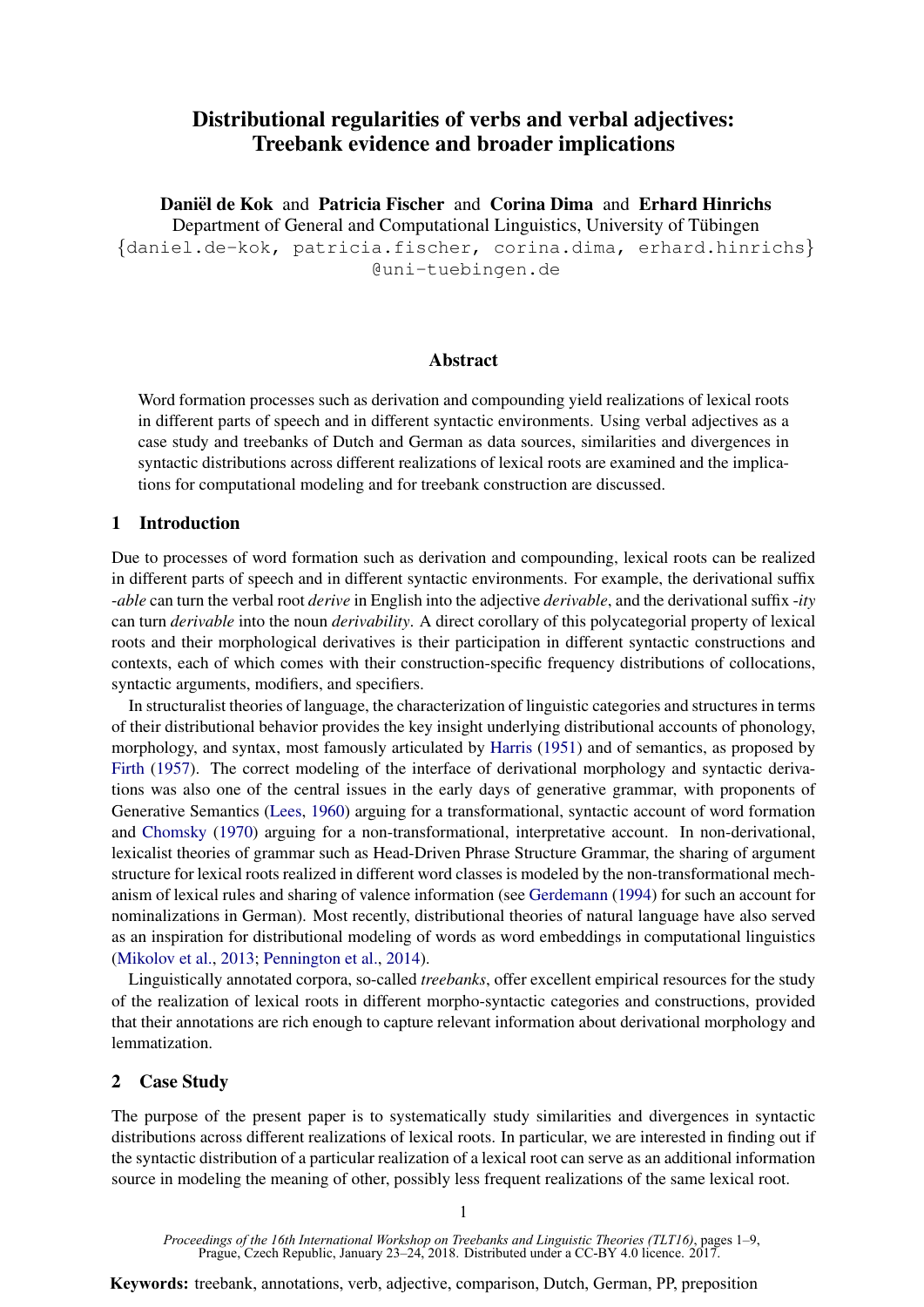# Distributional regularities of verbs and verbal adjectives: Treebank evidence and broader implications

Daniël de Kok and Patricia Fischer and Corina Dima and Erhard Hinrichs

Department of General and Computational Linguistics, University of Tübingen {daniel.de-kok, patricia.fischer, corina.dima, erhard.hinrichs} @uni-tuebingen.de

### Abstract

Word formation processes such as derivation and compounding yield realizations of lexical roots in different parts of speech and in different syntactic environments. Using verbal adjectives as a case study and treebanks of Dutch and German as data sources, similarities and divergences in syntactic distributions across different realizations of lexical roots are examined and the implications for computational modeling and for treebank construction are discussed.

### 1 Introduction

Due to processes of word formation such as derivation and compounding, lexical roots can be realized in different parts of speech and in different syntactic environments. For example, the derivational suffix -*able* can turn the verbal root *derive* in English into the adjective *derivable*, and the derivational suffix -*ity* can turn *derivable* into the noun *derivability*. A direct corollary of this polycategorial property of lexical roots and their morphological derivatives is their participation in different syntactic constructions and contexts, each of which comes with their construction-specific frequency distributions of collocations, syntactic arguments, modifiers, and specifiers.

In structuralist theories of language, the characterization of linguistic categories and structures in terms of their distributional behavior provides the key insight underlying distributional accounts of phonology, morphology, and syntax, most famously articulated by Harris (1951) and of semantics, as proposed by Firth (1957). The correct modeling of the interface of derivational morphology and syntactic derivations was also one of the central issues in the early days of generative grammar, with proponents of Generative Semantics (Lees, 1960) arguing for a transformational, syntactic account of word formation and Chomsky (1970) arguing for a non-transformational, interpretative account. In non-derivational, lexicalist theories of grammar such as Head-Driven Phrase Structure Grammar, the sharing of argument structure for lexical roots realized in different word classes is modeled by the non-transformational mechanism of lexical rules and sharing of valence information (see Gerdemann (1994) for such an account for nominalizations in German). Most recently, distributional theories of natural language have also served as an inspiration for distributional modeling of words as word embeddings in computational linguistics (Mikolov et al., 2013; Pennington et al., 2014).

Linguistically annotated corpora, so-called *treebanks*, offer excellent empirical resources for the study of the realization of lexical roots in different morpho-syntactic categories and constructions, provided that their annotations are rich enough to capture relevant information about derivational morphology and lemmatization.

## 2 Case Study

The purpose of the present paper is to systematically study similarities and divergences in syntactic distributions across different realizations of lexical roots. In particular, we are interested in finding out if the syntactic distribution of a particular realization of a lexical root can serve as an additional information source in modeling the meaning of other, possibly less frequent realizations of the same lexical root.

**Keywords:** treebank, annotations, verb, adjective, comparison, Dutch, German, PP, preposition

*Proceedings of the 16th International Workshop on Treebanks and Linguistic Theories (TLT16)*, pages 1–9, Prague, Czech Republic, January 23–24, 2018. Distributed under a CC-BY 4.0 licence. 2017.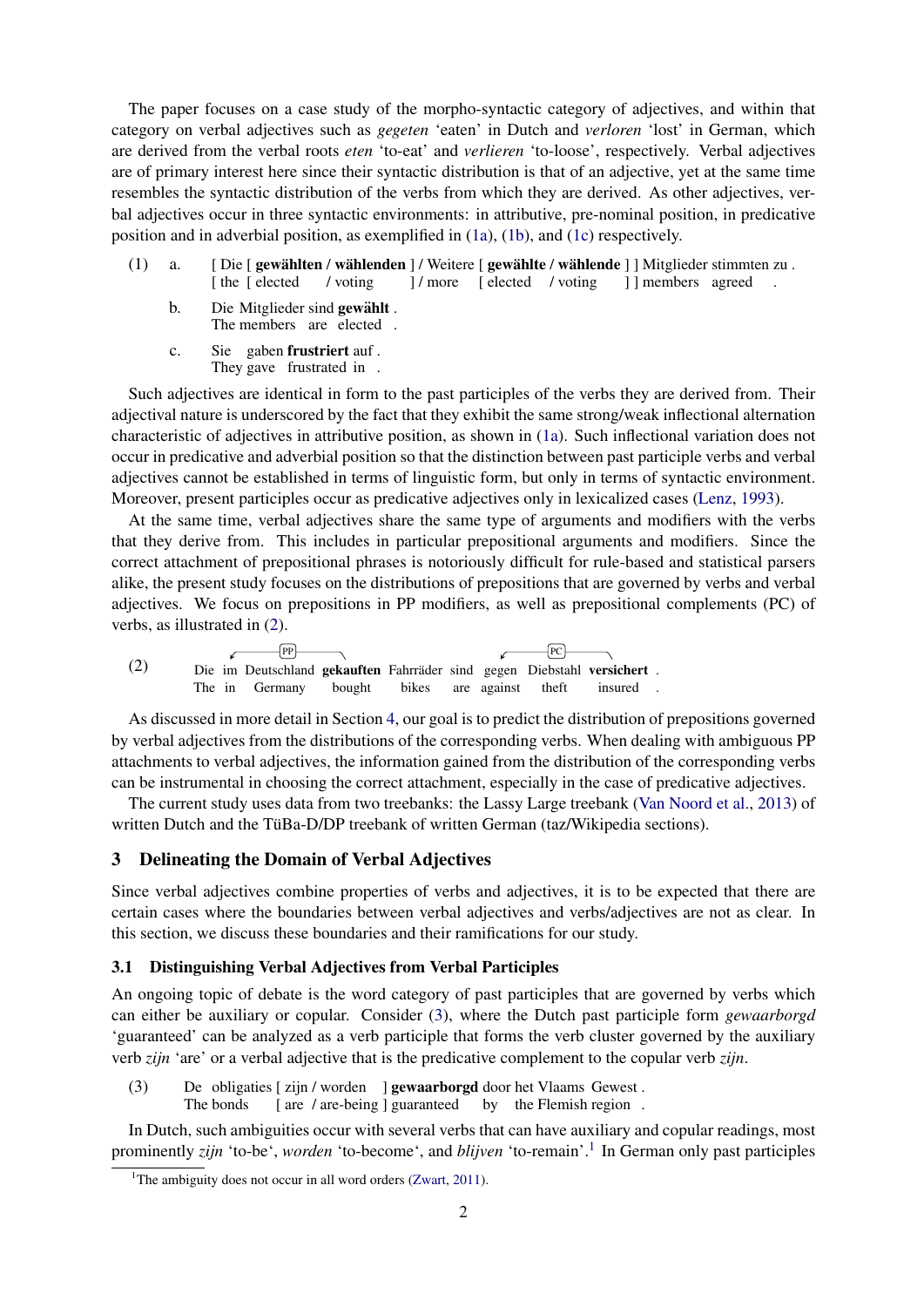The paper focuses on a case study of the morpho-syntactic category of adjectives, and within that category on verbal adjectives such as *gegeten* 'eaten' in Dutch and *verloren* 'lost' in German, which are derived from the verbal roots *eten* 'to-eat' and *verlieren* 'to-loose', respectively. Verbal adjectives are of primary interest here since their syntactic distribution is that of an adjective, yet at the same time resembles the syntactic distribution of the verbs from which they are derived. As other adjectives, verbal adjectives occur in three syntactic environments: in attributive, pre-nominal position, in predicative position and in adverbial position, as exemplified in (1a), (1b), and (1c) respectively.

- $(1)$  a. [the [elected] Die [gewählten / wählenden ] / Weitere [gewählte / wählende ] ] Mitglieder stimmten zu. / voting ] / more [ elected / voting ] ] members agreed .
	- b. Die Mitglieder sind gewählt. The members are elected.
	- c. Sie gaben frustriert auf. They gave frustrated in.

Such adjectives are identical in form to the past participles of the verbs they are derived from. Their adjectival nature is underscored by the fact that they exhibit the same strong/weak inflectional alternation characteristic of adjectives in attributive position, as shown in (1a). Such inflectional variation does not occur in predicative and adverbial position so that the distinction between past participle verbs and verbal adjectives cannot be established in terms of linguistic form, but only in terms of syntactic environment. Moreover, present participles occur as predicative adjectives only in lexicalized cases (Lenz, 1993).

At the same time, verbal adjectives share the same type of arguments and modifiers with the verbs that they derive from. This includes in particular prepositional arguments and modifiers. Since the correct attachment of prepositional phrases is notoriously difficult for rule-based and statistical parsers alike, the present study focuses on the distributions of prepositions that are governed by verbs and verbal adjectives. We focus on prepositions in PP modifiers, as well as prepositional complements (PC) of verbs, as illustrated in (2).



As discussed in more detail in Section 4, our goal is to predict the distribution of prepositions governed by verbal adjectives from the distributions of the corresponding verbs. When dealing with ambiguous PP attachments to verbal adjectives, the information gained from the distribution of the corresponding verbs can be instrumental in choosing the correct attachment, especially in the case of predicative adjectives.

The current study uses data from two treebanks: the Lassy Large treebank (Van Noord et al., 2013) of written Dutch and the TüBa-D/DP treebank of written German (taz/Wikipedia sections).

# 3 Delineating the Domain of Verbal Adjectives

Since verbal adjectives combine properties of verbs and adjectives, it is to be expected that there are certain cases where the boundaries between verbal adjectives and verbs/adjectives are not as clear. In this section, we discuss these boundaries and their ramifications for our study.

#### 3.1 Distinguishing Verbal Adjectives from Verbal Participles

An ongoing topic of debate is the word category of past participles that are governed by verbs which can either be auxiliary or copular. Consider (3), where the Dutch past participle form *gewaarborgd* 'guaranteed' can be analyzed as a verb participle that forms the verb cluster governed by the auxiliary verb *zijn* 'are' or a verbal adjective that is the predicative complement to the copular verb *zijn*.

(3) De obligaties [ zijn / worden ] gewaarborgd door het Vlaams Gewest. The bonds [ are / are-being ] guaranteed by the Flemish region.

In Dutch, such ambiguities occur with several verbs that can have auxiliary and copular readings, most prominently *zijn* 'to-be', *worden* 'to-become', and *blijven* 'to-remain'.<sup>1</sup> In German only past participles

<sup>&</sup>lt;sup>1</sup>The ambiguity does not occur in all word orders (Zwart, 2011).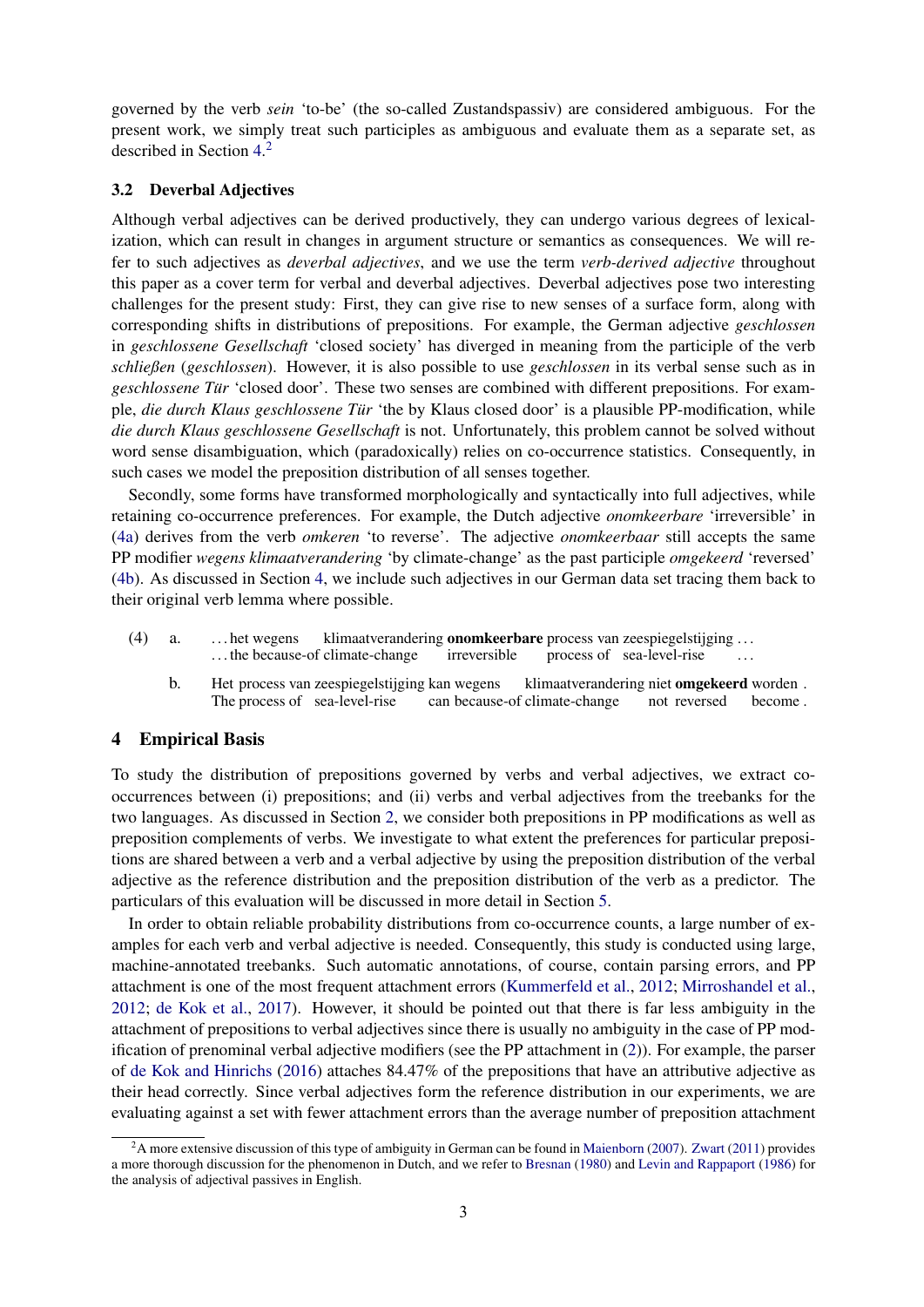governed by the verb *sein* 'to-be' (the so-called Zustandspassiv) are considered ambiguous. For the present work, we simply treat such participles as ambiguous and evaluate them as a separate set, as described in Section 4. 2

### 3.2 Deverbal Adjectives

Although verbal adjectives can be derived productively, they can undergo various degrees of lexicalization, which can result in changes in argument structure or semantics as consequences. We will refer to such adjectives as *deverbal adjectives*, and we use the term *verb-derived adjective* throughout this paper as a cover term for verbal and deverbal adjectives. Deverbal adjectives pose two interesting challenges for the present study: First, they can give rise to new senses of a surface form, along with corresponding shifts in distributions of prepositions. For example, the German adjective *geschlossen* in *geschlossene Gesellschaft* 'closed society' has diverged in meaning from the participle of the verb *schließen* (*geschlossen*). However, it is also possible to use *geschlossen* in its verbal sense such as in *geschlossene Tür* 'closed door'. These two senses are combined with different prepositions. For example, *die durch Klaus geschlossene Tur¨* 'the by Klaus closed door' is a plausible PP-modification, while *die durch Klaus geschlossene Gesellschaft* is not. Unfortunately, this problem cannot be solved without word sense disambiguation, which (paradoxically) relies on co-occurrence statistics. Consequently, in such cases we model the preposition distribution of all senses together.

Secondly, some forms have transformed morphologically and syntactically into full adjectives, while retaining co-occurrence preferences. For example, the Dutch adjective *onomkeerbare* 'irreversible' in (4a) derives from the verb *omkeren* 'to reverse'. The adjective *onomkeerbaar* still accepts the same PP modifier *wegens klimaatverandering* 'by climate-change' as the past participle *omgekeerd* 'reversed' (4b). As discussed in Section 4, we include such adjectives in our German data set tracing them back to their original verb lemma where possible.

- (4) a. . . . het wegens ... the because-of climate-change klimaatverandering **onomkeerbare** process van zeespiegelstijging ... irreversible process of sea-level-rise . . .
	- b. Het process van zeespiegelstijging kan wegens The process of sea-level-rise can because-of climate-change klimaatverandering niet omgekeerd worden. not reversed become .

### 4 Empirical Basis

To study the distribution of prepositions governed by verbs and verbal adjectives, we extract cooccurrences between (i) prepositions; and (ii) verbs and verbal adjectives from the treebanks for the two languages. As discussed in Section 2, we consider both prepositions in PP modifications as well as preposition complements of verbs. We investigate to what extent the preferences for particular prepositions are shared between a verb and a verbal adjective by using the preposition distribution of the verbal adjective as the reference distribution and the preposition distribution of the verb as a predictor. The particulars of this evaluation will be discussed in more detail in Section 5.

In order to obtain reliable probability distributions from co-occurrence counts, a large number of examples for each verb and verbal adjective is needed. Consequently, this study is conducted using large, machine-annotated treebanks. Such automatic annotations, of course, contain parsing errors, and PP attachment is one of the most frequent attachment errors (Kummerfeld et al., 2012; Mirroshandel et al., 2012; de Kok et al., 2017). However, it should be pointed out that there is far less ambiguity in the attachment of prepositions to verbal adjectives since there is usually no ambiguity in the case of PP modification of prenominal verbal adjective modifiers (see the PP attachment in (2)). For example, the parser of de Kok and Hinrichs (2016) attaches 84.47% of the prepositions that have an attributive adjective as their head correctly. Since verbal adjectives form the reference distribution in our experiments, we are evaluating against a set with fewer attachment errors than the average number of preposition attachment

 $2A$  more extensive discussion of this type of ambiguity in German can be found in Maienborn (2007). Zwart (2011) provides a more thorough discussion for the phenomenon in Dutch, and we refer to Bresnan (1980) and Levin and Rappaport (1986) for the analysis of adjectival passives in English.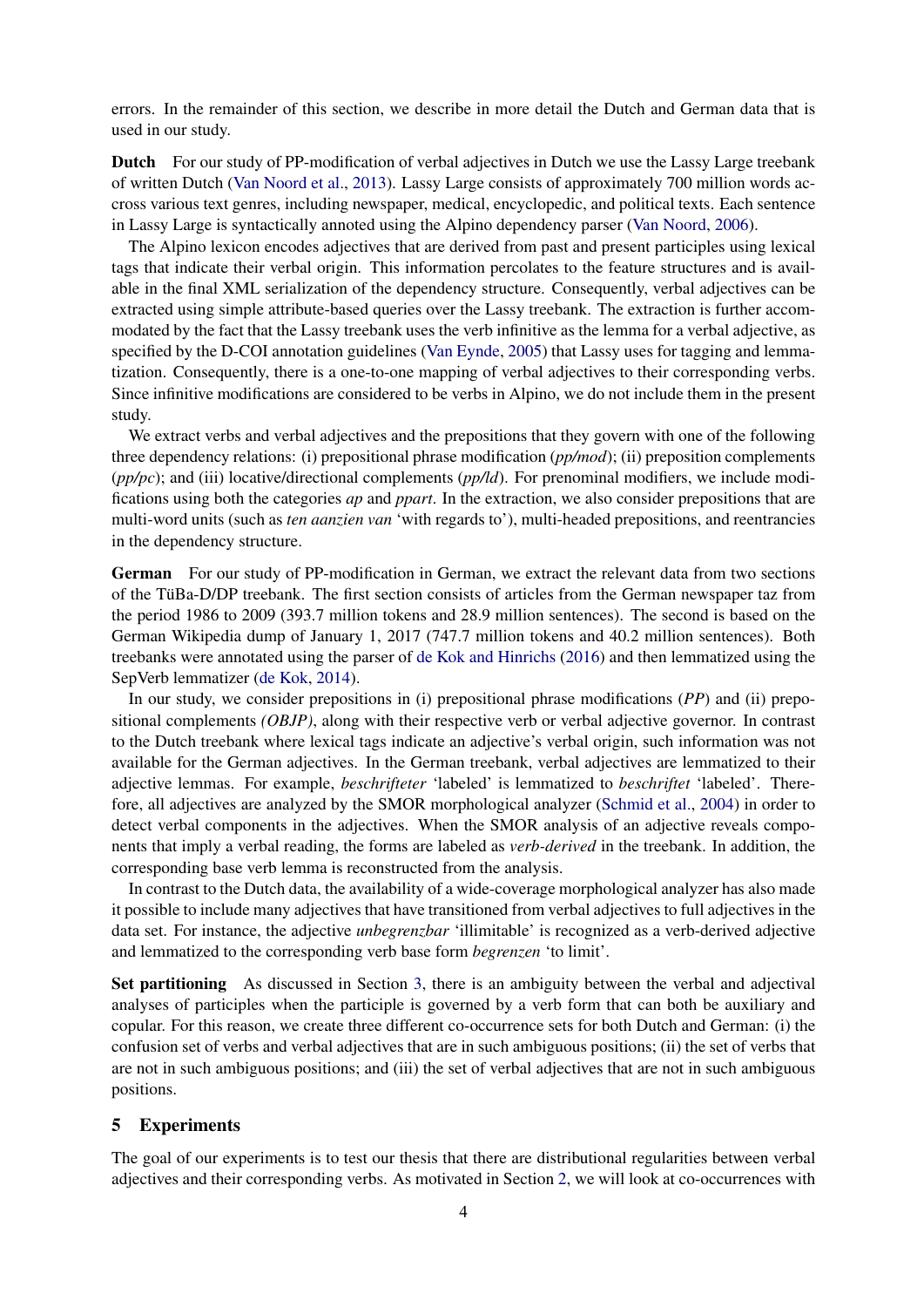errors. In the remainder of this section, we describe in more detail the Dutch and German data that is used in our study.

Dutch For our study of PP-modification of verbal adjectives in Dutch we use the Lassy Large treebank of written Dutch (Van Noord et al., 2013). Lassy Large consists of approximately 700 million words accross various text genres, including newspaper, medical, encyclopedic, and political texts. Each sentence in Lassy Large is syntactically annoted using the Alpino dependency parser (Van Noord, 2006).

The Alpino lexicon encodes adjectives that are derived from past and present participles using lexical tags that indicate their verbal origin. This information percolates to the feature structures and is available in the final XML serialization of the dependency structure. Consequently, verbal adjectives can be extracted using simple attribute-based queries over the Lassy treebank. The extraction is further accommodated by the fact that the Lassy treebank uses the verb infinitive as the lemma for a verbal adjective, as specified by the D-COI annotation guidelines (Van Eynde, 2005) that Lassy uses for tagging and lemmatization. Consequently, there is a one-to-one mapping of verbal adjectives to their corresponding verbs. Since infinitive modifications are considered to be verbs in Alpino, we do not include them in the present study.

We extract verbs and verbal adjectives and the prepositions that they govern with one of the following three dependency relations: (i) prepositional phrase modification (*pp/mod*); (ii) preposition complements (*pp/pc*); and (iii) locative/directional complements (*pp/ld*). For prenominal modifiers, we include modifications using both the categories *ap* and *ppart*. In the extraction, we also consider prepositions that are multi-word units (such as *ten aanzien van* 'with regards to'), multi-headed prepositions, and reentrancies in the dependency structure.

German For our study of PP-modification in German, we extract the relevant data from two sections of the TuBa-D/DP treebank. The first section consists of articles from the German newspaper taz from ¨ the period 1986 to 2009 (393.7 million tokens and 28.9 million sentences). The second is based on the German Wikipedia dump of January 1, 2017 (747.7 million tokens and 40.2 million sentences). Both treebanks were annotated using the parser of de Kok and Hinrichs (2016) and then lemmatized using the SepVerb lemmatizer (de Kok, 2014).

In our study, we consider prepositions in (i) prepositional phrase modifications (*PP*) and (ii) prepositional complements *(OBJP)*, along with their respective verb or verbal adjective governor. In contrast to the Dutch treebank where lexical tags indicate an adjective's verbal origin, such information was not available for the German adjectives. In the German treebank, verbal adjectives are lemmatized to their adjective lemmas. For example, *beschrifteter* 'labeled' is lemmatized to *beschriftet* 'labeled'. Therefore, all adjectives are analyzed by the SMOR morphological analyzer (Schmid et al., 2004) in order to detect verbal components in the adjectives. When the SMOR analysis of an adjective reveals components that imply a verbal reading, the forms are labeled as *verb-derived* in the treebank. In addition, the corresponding base verb lemma is reconstructed from the analysis.

In contrast to the Dutch data, the availability of a wide-coverage morphological analyzer has also made it possible to include many adjectives that have transitioned from verbal adjectives to full adjectives in the data set. For instance, the adjective *unbegrenzbar* 'illimitable' is recognized as a verb-derived adjective and lemmatized to the corresponding verb base form *begrenzen* 'to limit'.

Set partitioning As discussed in Section 3, there is an ambiguity between the verbal and adjectival analyses of participles when the participle is governed by a verb form that can both be auxiliary and copular. For this reason, we create three different co-occurrence sets for both Dutch and German: (i) the confusion set of verbs and verbal adjectives that are in such ambiguous positions; (ii) the set of verbs that are not in such ambiguous positions; and (iii) the set of verbal adjectives that are not in such ambiguous positions.

### 5 Experiments

The goal of our experiments is to test our thesis that there are distributional regularities between verbal adjectives and their corresponding verbs. As motivated in Section 2, we will look at co-occurrences with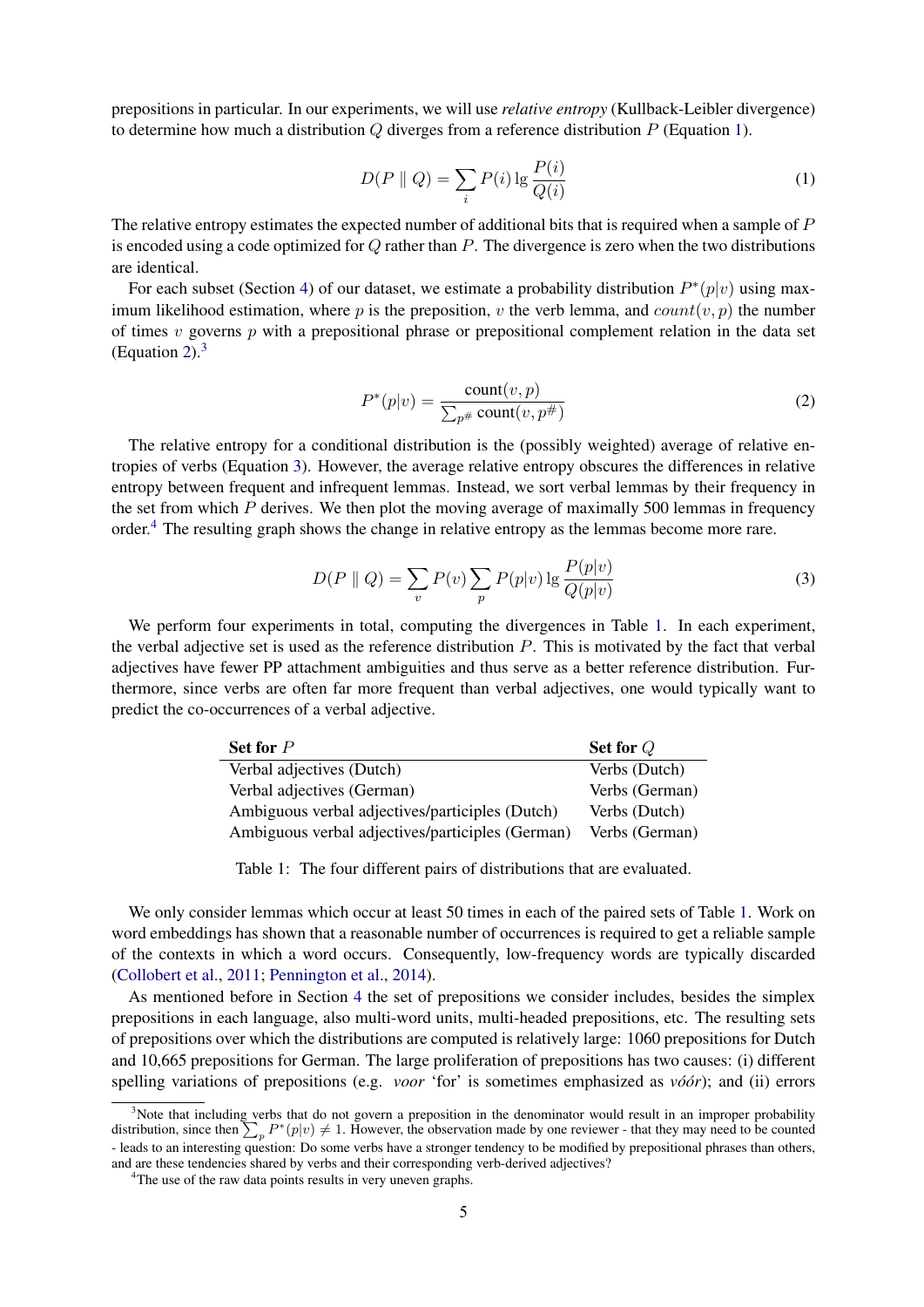prepositions in particular. In our experiments, we will use *relative entropy* (Kullback-Leibler divergence) to determine how much a distribution  $O$  diverges from a reference distribution  $P$  (Equation 1).

$$
D(P \parallel Q) = \sum_{i} P(i) \lg \frac{P(i)}{Q(i)} \tag{1}
$$

The relative entropy estimates the expected number of additional bits that is required when a sample of P is encoded using a code optimized for  $Q$  rather than  $P$ . The divergence is zero when the two distributions are identical.

For each subset (Section 4) of our dataset, we estimate a probability distribution  $P^*(p|v)$  using maximum likelihood estimation, where p is the preposition, v the verb lemma, and  $count(v, p)$  the number of times  $v$  governs  $p$  with a prepositional phrase or prepositional complement relation in the data set (Equation 2). $3$ 

$$
P^*(p|v) = \frac{\text{count}(v, p)}{\sum_{p^{\#}} \text{count}(v, p^{\#})}
$$
(2)

The relative entropy for a conditional distribution is the (possibly weighted) average of relative entropies of verbs (Equation 3). However, the average relative entropy obscures the differences in relative entropy between frequent and infrequent lemmas. Instead, we sort verbal lemmas by their frequency in the set from which  $P$  derives. We then plot the moving average of maximally 500 lemmas in frequency order.<sup>4</sup> The resulting graph shows the change in relative entropy as the lemmas become more rare.

$$
D(P \parallel Q) = \sum_{v} P(v) \sum_{p} P(p|v) \lg \frac{P(p|v)}{Q(p|v)}
$$
\n
$$
(3)
$$

We perform four experiments in total, computing the divergences in Table 1. In each experiment, the verbal adjective set is used as the reference distribution P. This is motivated by the fact that verbal adjectives have fewer PP attachment ambiguities and thus serve as a better reference distribution. Furthermore, since verbs are often far more frequent than verbal adjectives, one would typically want to predict the co-occurrences of a verbal adjective.

| Set for $P$                                      | Set for $Q$    |
|--------------------------------------------------|----------------|
| Verbal adjectives (Dutch)                        | Verbs (Dutch)  |
| Verbal adjectives (German)                       | Verbs (German) |
| Ambiguous verbal adjectives/participles (Dutch)  | Verbs (Dutch)  |
| Ambiguous verbal adjectives/participles (German) | Verbs (German) |

Table 1: The four different pairs of distributions that are evaluated.

We only consider lemmas which occur at least 50 times in each of the paired sets of Table 1. Work on word embeddings has shown that a reasonable number of occurrences is required to get a reliable sample of the contexts in which a word occurs. Consequently, low-frequency words are typically discarded (Collobert et al., 2011; Pennington et al., 2014).

As mentioned before in Section 4 the set of prepositions we consider includes, besides the simplex prepositions in each language, also multi-word units, multi-headed prepositions, etc. The resulting sets of prepositions over which the distributions are computed is relatively large: 1060 prepositions for Dutch and 10,665 prepositions for German. The large proliferation of prepositions has two causes: (i) different spelling variations of prepositions (e.g. *voor* 'for' is sometimes emphasized as *vo*'*or*); and (ii) errors

 $3$ Note that including verbs that do not govern a preposition in the denominator would result in an improper probability distribution, since then  $\sum_{p} P^*(p|v) \neq 1$ . However, the observation made by one reviewer - that they may need to be counted - leads to an interesting question: Do some verbs have a stronger tendency to be modified by prepositional phrases than others, and are these tendencies shared by verbs and their corresponding verb-derived adjectives?

<sup>&</sup>lt;sup>4</sup>The use of the raw data points results in very uneven graphs.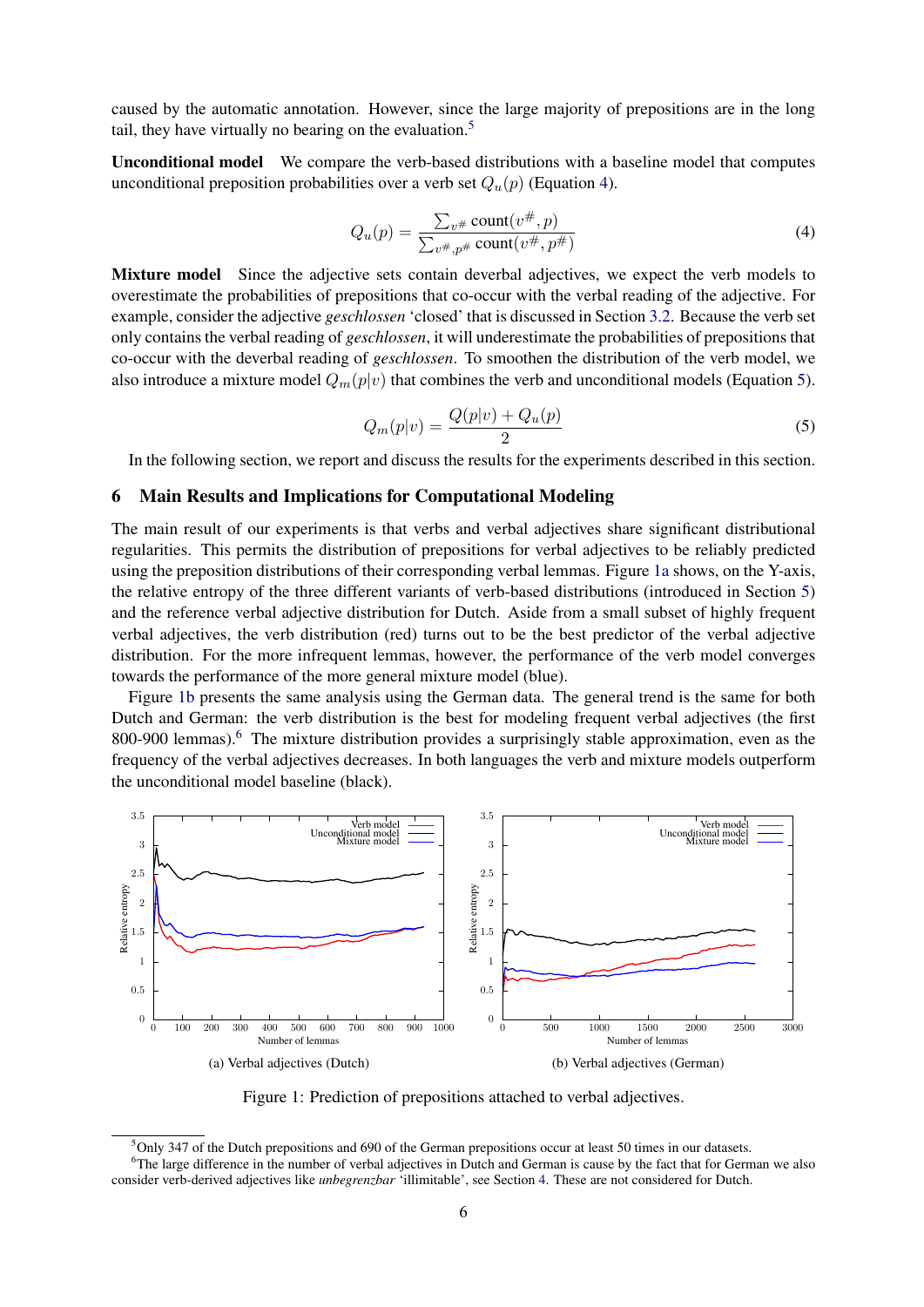caused by the automatic annotation. However, since the large majority of prepositions are in the long tail, they have virtually no bearing on the evaluation.<sup>5</sup>

Unconditional model We compare the verb-based distributions with a baseline model that computes unconditional preposition probabilities over a verb set  $Q_u(p)$  (Equation 4).

$$
Q_u(p) = \frac{\sum_{v^{\#}} count(v^{\#}, p)}{\sum_{v^{\#}, p^{\#}} count(v^{\#}, p^{\#})}
$$
\n(4)

Mixture model Since the adjective sets contain deverbal adjectives, we expect the verb models to overestimate the probabilities of prepositions that co-occur with the verbal reading of the adjective. For example, consider the adjective *geschlossen* 'closed' that is discussed in Section 3.2. Because the verb set only contains the verbal reading of *geschlossen*, it will underestimate the probabilities of prepositions that co-occur with the deverbal reading of *geschlossen*. To smoothen the distribution of the verb model, we also introduce a mixture model  $Q_m(p|v)$  that combines the verb and unconditional models (Equation 5).

$$
Q_m(p|v) = \frac{Q(p|v) + Q_u(p)}{2}
$$
 (5)

In the following section, we report and discuss the results for the experiments described in this section.

#### 6 Main Results and Implications for Computational Modeling

The main result of our experiments is that verbs and verbal adjectives share significant distributional regularities. This permits the distribution of prepositions for verbal adjectives to be reliably predicted using the preposition distributions of their corresponding verbal lemmas. Figure 1a shows, on the Y-axis, the relative entropy of the three different variants of verb-based distributions (introduced in Section 5) and the reference verbal adjective distribution for Dutch. Aside from a small subset of highly frequent verbal adjectives, the verb distribution (red) turns out to be the best predictor of the verbal adjective distribution. For the more infrequent lemmas, however, the performance of the verb model converges towards the performance of the more general mixture model (blue).

Figure 1b presents the same analysis using the German data. The general trend is the same for both Dutch and German: the verb distribution is the best for modeling frequent verbal adjectives (the first 800-900 lemmas).<sup>6</sup> The mixture distribution provides a surprisingly stable approximation, even as the frequency of the verbal adjectives decreases. In both languages the verb and mixture models outperform the unconditional model baseline (black).



Figure 1: Prediction of prepositions attached to verbal adjectives.

 $5$ Only 347 of the Dutch prepositions and 690 of the German prepositions occur at least 50 times in our datasets. <sup>6</sup>The large difference in the number of verbal adjectives in Dutch and German is cause by the fact that for German we also consider verb-derived adjectives like *unbegrenzbar* 'illimitable', see Section 4. These are not considered for Dutch.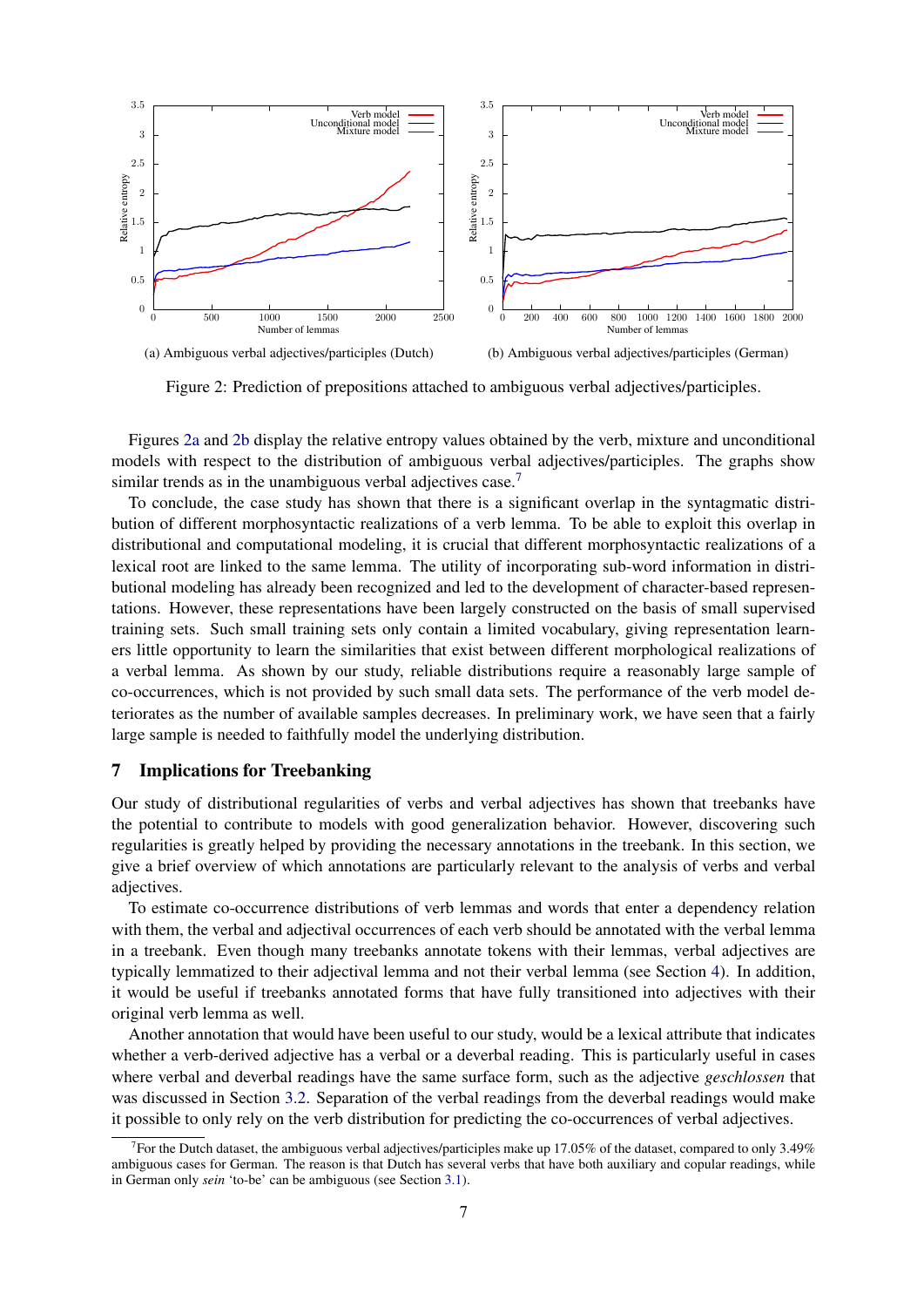

Figure 2: Prediction of prepositions attached to ambiguous verbal adjectives/participles.

Figures 2a and 2b display the relative entropy values obtained by the verb, mixture and unconditional models with respect to the distribution of ambiguous verbal adjectives/participles. The graphs show similar trends as in the unambiguous verbal adjectives case.<sup>7</sup>

To conclude, the case study has shown that there is a significant overlap in the syntagmatic distribution of different morphosyntactic realizations of a verb lemma. To be able to exploit this overlap in distributional and computational modeling, it is crucial that different morphosyntactic realizations of a lexical root are linked to the same lemma. The utility of incorporating sub-word information in distributional modeling has already been recognized and led to the development of character-based representations. However, these representations have been largely constructed on the basis of small supervised training sets. Such small training sets only contain a limited vocabulary, giving representation learners little opportunity to learn the similarities that exist between different morphological realizations of a verbal lemma. As shown by our study, reliable distributions require a reasonably large sample of co-occurrences, which is not provided by such small data sets. The performance of the verb model deteriorates as the number of available samples decreases. In preliminary work, we have seen that a fairly large sample is needed to faithfully model the underlying distribution.

#### 7 Implications for Treebanking

Our study of distributional regularities of verbs and verbal adjectives has shown that treebanks have the potential to contribute to models with good generalization behavior. However, discovering such regularities is greatly helped by providing the necessary annotations in the treebank. In this section, we give a brief overview of which annotations are particularly relevant to the analysis of verbs and verbal adjectives.

To estimate co-occurrence distributions of verb lemmas and words that enter a dependency relation with them, the verbal and adjectival occurrences of each verb should be annotated with the verbal lemma in a treebank. Even though many treebanks annotate tokens with their lemmas, verbal adjectives are typically lemmatized to their adjectival lemma and not their verbal lemma (see Section 4). In addition, it would be useful if treebanks annotated forms that have fully transitioned into adjectives with their original verb lemma as well.

Another annotation that would have been useful to our study, would be a lexical attribute that indicates whether a verb-derived adjective has a verbal or a deverbal reading. This is particularly useful in cases where verbal and deverbal readings have the same surface form, such as the adjective *geschlossen* that was discussed in Section 3.2. Separation of the verbal readings from the deverbal readings would make it possible to only rely on the verb distribution for predicting the co-occurrences of verbal adjectives.

<sup>&</sup>lt;sup>7</sup> For the Dutch dataset, the ambiguous verbal adjectives/participles make up 17.05% of the dataset, compared to only 3.49% ambiguous cases for German. The reason is that Dutch has several verbs that have both auxiliary and copular readings, while in German only *sein* 'to-be' can be ambiguous (see Section 3.1).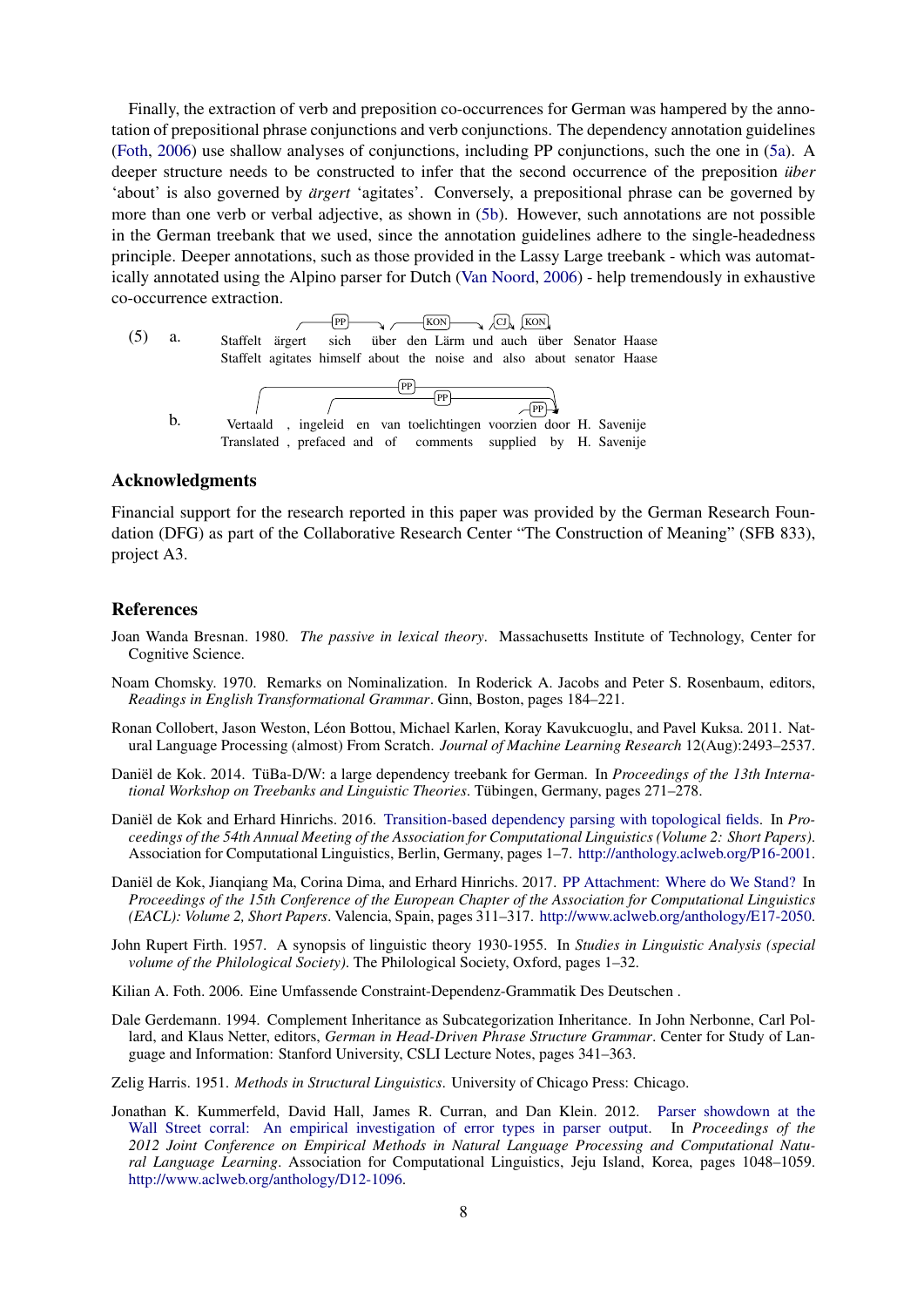Finally, the extraction of verb and preposition co-occurrences for German was hampered by the annotation of prepositional phrase conjunctions and verb conjunctions. The dependency annotation guidelines (Foth, 2006) use shallow analyses of conjunctions, including PP conjunctions, such the one in (5a). A deeper structure needs to be constructed to infer that the second occurrence of the preposition *über* 'about' is also governed by *ärgert* 'agitates'. Conversely, a prepositional phrase can be governed by more than one verb or verbal adjective, as shown in (5b). However, such annotations are not possible in the German treebank that we used, since the annotation guidelines adhere to the single-headedness principle. Deeper annotations, such as those provided in the Lassy Large treebank - which was automatically annotated using the Alpino parser for Dutch (Van Noord, 2006) - help tremendously in exhaustive co-occurrence extraction.



#### Acknowledgments

Financial support for the research reported in this paper was provided by the German Research Foundation (DFG) as part of the Collaborative Research Center "The Construction of Meaning" (SFB 833), project A3.

#### References

- Joan Wanda Bresnan. 1980. *The passive in lexical theory*. Massachusetts Institute of Technology, Center for Cognitive Science.
- Noam Chomsky. 1970. Remarks on Nominalization. In Roderick A. Jacobs and Peter S. Rosenbaum, editors, *Readings in English Transformational Grammar*. Ginn, Boston, pages 184–221.
- Ronan Collobert, Jason Weston, Léon Bottou, Michael Karlen, Koray Kavukcuoglu, and Pavel Kuksa. 2011. Natural Language Processing (almost) From Scratch. *Journal of Machine Learning Research* 12(Aug):2493–2537.
- Daniël de Kok. 2014. TüBa-D/W: a large dependency treebank for German. In *Proceedings of the 13th International Workshop on Treebanks and Linguistic Theories*. Tubingen, Germany, pages 271–278. ¨
- Daniël de Kok and Erhard Hinrichs. 2016. Transition-based dependency parsing with topological fields. In *Proceedings of the 54th Annual Meeting of the Association for Computational Linguistics (Volume 2: Short Papers)*. Association for Computational Linguistics, Berlin, Germany, pages 1–7. http://anthology.aclweb.org/P16-2001.
- Daniël de Kok, Jianqiang Ma, Corina Dima, and Erhard Hinrichs. 2017. PP Attachment: Where do We Stand? In *Proceedings of the 15th Conference of the European Chapter of the Association for Computational Linguistics (EACL): Volume 2, Short Papers*. Valencia, Spain, pages 311–317. http://www.aclweb.org/anthology/E17-2050.
- John Rupert Firth. 1957. A synopsis of linguistic theory 1930-1955. In *Studies in Linguistic Analysis (special volume of the Philological Society)*. The Philological Society, Oxford, pages 1–32.
- Kilian A. Foth. 2006. Eine Umfassende Constraint-Dependenz-Grammatik Des Deutschen .
- Dale Gerdemann. 1994. Complement Inheritance as Subcategorization Inheritance. In John Nerbonne, Carl Pollard, and Klaus Netter, editors, *German in Head-Driven Phrase Structure Grammar*. Center for Study of Language and Information: Stanford University, CSLI Lecture Notes, pages 341–363.

Zelig Harris. 1951. *Methods in Structural Linguistics*. University of Chicago Press: Chicago.

Jonathan K. Kummerfeld, David Hall, James R. Curran, and Dan Klein. 2012. Parser showdown at the Wall Street corral: An empirical investigation of error types in parser output. In *Proceedings of the 2012 Joint Conference on Empirical Methods in Natural Language Processing and Computational Natural Language Learning*. Association for Computational Linguistics, Jeju Island, Korea, pages 1048–1059. http://www.aclweb.org/anthology/D12-1096.